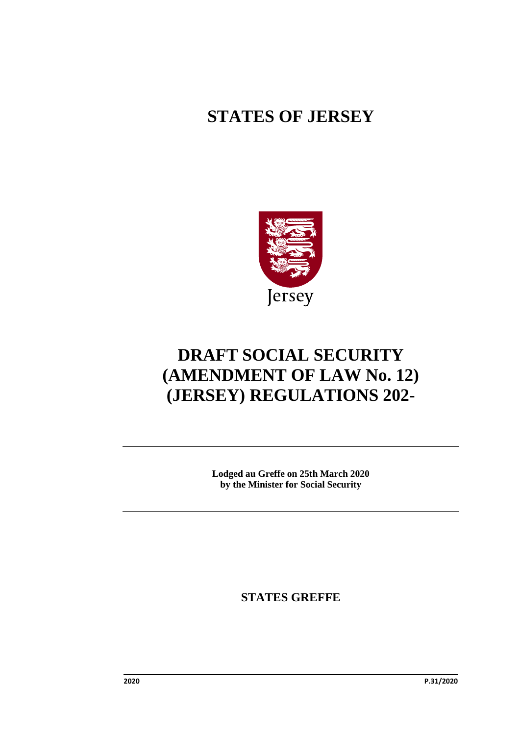# **STATES OF JERSEY**



# **DRAFT SOCIAL SECURITY (AMENDMENT OF LAW No. 12) (JERSEY) REGULATIONS 202-**

**Lodged au Greffe on 25th March 2020 by the Minister for Social Security**

**STATES GREFFE**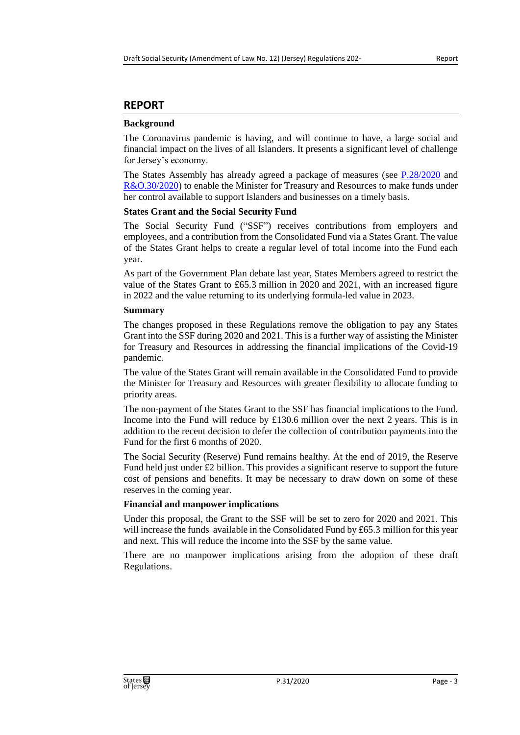## **REPORT**

### **Background**

The Coronavirus pandemic is having, and will continue to have, a large social and financial impact on the lives of all Islanders. It presents a significant level of challenge for Jersey's economy.

The States Assembly has already agreed a package of measures (see  $P.28/2020$  and [R&O.30/2020\)](https://www.jerseylaw.je/laws/enacted/Pages/RO-030-2020.aspx) to enable the Minister for Treasury and Resources to make funds under her control available to support Islanders and businesses on a timely basis.

### **States Grant and the Social Security Fund**

The Social Security Fund ("SSF") receives contributions from employers and employees, and a contribution from the Consolidated Fund via a States Grant. The value of the States Grant helps to create a regular level of total income into the Fund each year.

As part of the Government Plan debate last year, States Members agreed to restrict the value of the States Grant to £65.3 million in 2020 and 2021, with an increased figure in 2022 and the value returning to its underlying formula-led value in 2023.

### **Summary**

The changes proposed in these Regulations remove the obligation to pay any States Grant into the SSF during 2020 and 2021. This is a further way of assisting the Minister for Treasury and Resources in addressing the financial implications of the Covid-19 pandemic.

The value of the States Grant will remain available in the Consolidated Fund to provide the Minister for Treasury and Resources with greater flexibility to allocate funding to priority areas.

The non-payment of the States Grant to the SSF has financial implications to the Fund. Income into the Fund will reduce by  $£130.6$  million over the next 2 years. This is in addition to the recent decision to defer the collection of contribution payments into the Fund for the first 6 months of 2020.

The Social Security (Reserve) Fund remains healthy. At the end of 2019, the Reserve Fund held just under £2 billion. This provides a significant reserve to support the future cost of pensions and benefits. It may be necessary to draw down on some of these reserves in the coming year.

### **Financial and manpower implications**

Under this proposal, the Grant to the SSF will be set to zero for 2020 and 2021. This will increase the funds available in the Consolidated Fund by £65.3 million for this year and next. This will reduce the income into the SSF by the same value.

There are no manpower implications arising from the adoption of these draft Regulations.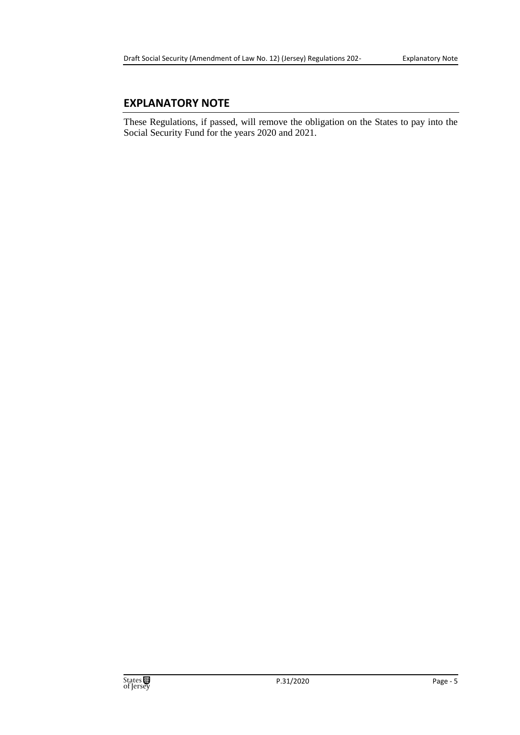## **EXPLANATORY NOTE**

These Regulations, if passed, will remove the obligation on the States to pay into the Social Security Fund for the years 2020 and 2021.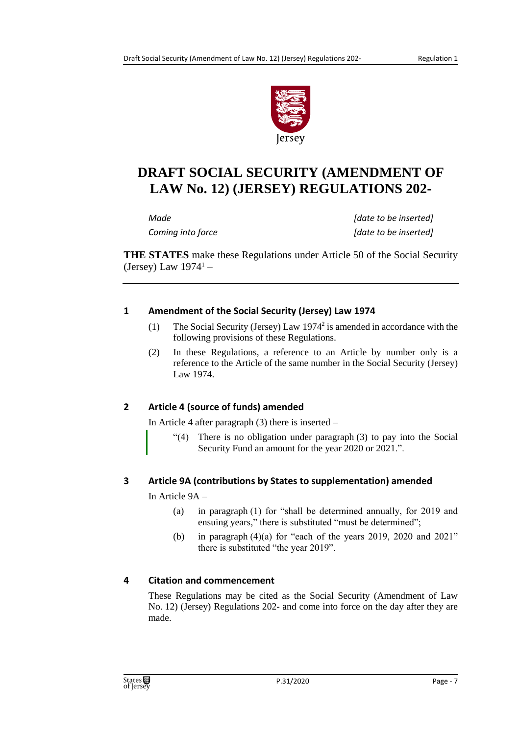

# **DRAFT SOCIAL SECURITY (AMENDMENT OF LAW No. 12) (JERSEY) REGULATIONS 202-**

*Made [date to be inserted] Coming into force [date to be inserted]*

**THE STATES** make these Regulations under Article 50 of the Social Security (Jersey) Law  $1974<sup>1</sup>$  –

## **1 Amendment of the Social Security (Jersey) Law 1974**

- (1) The Social Security (Jersey) Law  $1974^2$  is amended in accordance with the following provisions of these Regulations.
- (2) In these Regulations, a reference to an Article by number only is a reference to the Article of the same number in the Social Security (Jersey) Law 1974.

## **2 Article 4 (source of funds) amended**

In Article 4 after paragraph (3) there is inserted –

"(4) There is no obligation under paragraph (3) to pay into the Social Security Fund an amount for the year 2020 or 2021.".

# **3 Article 9A (contributions by States to supplementation) amended**

In Article 9A –

- (a) in paragraph (1) for "shall be determined annually, for 2019 and ensuing years," there is substituted "must be determined";
- (b) in paragraph  $(4)(a)$  for "each of the years 2019, 2020 and 2021" there is substituted "the year 2019".

# **4 Citation and commencement**

These Regulations may be cited as the Social Security (Amendment of Law No. 12) (Jersey) Regulations 202- and come into force on the day after they are made.